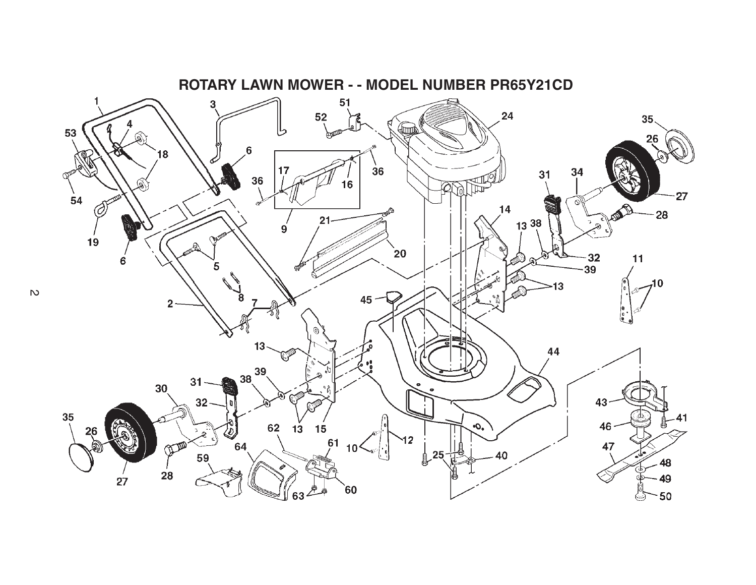

**ROTARY LAWN MOWER - - MODEL NUMBER PR65Y21CD**

 $\overline{c}$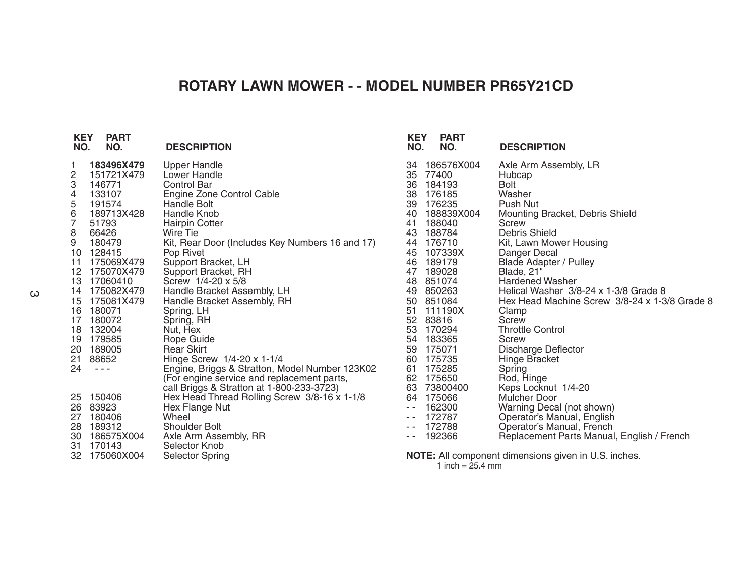## **ROTARY LAWN MOWER - - MODEL NUMBER PR65Y21CD**

| <b>KEY</b><br>NO. | <b>PART</b><br>NO.                                                                                                                                                                                                                                                                                                                                                                                                                             | <b>DESCRIPTION</b>                              | <b>KEY</b><br>NO. | <b>PART</b><br>NO. | <b>DESCRIPTION</b>                                   |
|-------------------|------------------------------------------------------------------------------------------------------------------------------------------------------------------------------------------------------------------------------------------------------------------------------------------------------------------------------------------------------------------------------------------------------------------------------------------------|-------------------------------------------------|-------------------|--------------------|------------------------------------------------------|
|                   | 183496X479                                                                                                                                                                                                                                                                                                                                                                                                                                     | Upper Handle                                    | 34                | 186576X004         | Axle Arm Assembly, LR                                |
| 2                 | 151721X479                                                                                                                                                                                                                                                                                                                                                                                                                                     | Lower Handle                                    | 35                | 77400              | Hubcap                                               |
| 3                 | 146771                                                                                                                                                                                                                                                                                                                                                                                                                                         | <b>Control Bar</b>                              | 36                | 184193             | Bolt                                                 |
| 4                 | 133107                                                                                                                                                                                                                                                                                                                                                                                                                                         | Engine Zone Control Cable                       | 38                | 176185             | Washer                                               |
| 5                 | 191574                                                                                                                                                                                                                                                                                                                                                                                                                                         | Handle Bolt                                     | 39                | 176235             | Push Nut                                             |
| 6                 | 189713X428                                                                                                                                                                                                                                                                                                                                                                                                                                     | Handle Knob                                     | 40                | 188839X004         | Mounting Bracket, Debris Shield                      |
| 7                 | 51793                                                                                                                                                                                                                                                                                                                                                                                                                                          | <b>Hairpin Cotter</b>                           | 41                | 188040             | <b>Screw</b>                                         |
| 8                 | 66426                                                                                                                                                                                                                                                                                                                                                                                                                                          | Wire Tie                                        | 43                | 188784             | <b>Debris Shield</b>                                 |
| 9                 | 180479                                                                                                                                                                                                                                                                                                                                                                                                                                         | Kit, Rear Door (Includes Key Numbers 16 and 17) | 44                | 176710             | Kit, Lawn Mower Housing                              |
| 10                | 128415                                                                                                                                                                                                                                                                                                                                                                                                                                         | Pop Rivet                                       | 45                | 107339X            | Danger Decal                                         |
| 11                | 175069X479                                                                                                                                                                                                                                                                                                                                                                                                                                     | Support Bracket, LH                             | 46                | 189179             | <b>Blade Adapter / Pulley</b>                        |
| 12                | 175070X479                                                                                                                                                                                                                                                                                                                                                                                                                                     | Support Bracket, RH                             | 47                | 189028             | <b>Blade, 21"</b>                                    |
| 13                | 17060410                                                                                                                                                                                                                                                                                                                                                                                                                                       | Screw $1/4 - 20 \times 5/8$                     | 48                | 851074             | <b>Hardened Washer</b>                               |
| 14                | 175082X479                                                                                                                                                                                                                                                                                                                                                                                                                                     | Handle Bracket Assembly, LH                     | 49                | 850263             | Helical Washer 3/8-24 x 1-3/8 Grade 8                |
| 15                | 175081X479                                                                                                                                                                                                                                                                                                                                                                                                                                     | Handle Bracket Assembly, RH                     | 50                | 851084             | Hex Head Machine Screw 3/8-24 x 1-3/8 Grade 8        |
| 16                | 180071                                                                                                                                                                                                                                                                                                                                                                                                                                         | Spring, LH                                      |                   | 51 111190X         | Clamp                                                |
| 17                | 180072                                                                                                                                                                                                                                                                                                                                                                                                                                         | Spring, RH                                      |                   | 52 83816           | Screw                                                |
| 18                | 132004                                                                                                                                                                                                                                                                                                                                                                                                                                         | Nut, Hex                                        | 53                | 170294             | <b>Throttle Control</b>                              |
| 19                | 179585                                                                                                                                                                                                                                                                                                                                                                                                                                         | Rope Guide                                      | 54                | 183365             | <b>Screw</b>                                         |
| 20                | 189005                                                                                                                                                                                                                                                                                                                                                                                                                                         | <b>Rear Skirt</b>                               | 59                | 175071             | Discharge Deflector                                  |
| 21                | 88652                                                                                                                                                                                                                                                                                                                                                                                                                                          | Hinge Screw 1/4-20 x 1-1/4                      | 60                | 175735             | Hinge Bracket                                        |
| 24                | $\frac{1}{2} \left( \frac{1}{2} \right) + \frac{1}{2} \left( \frac{1}{2} \right) + \frac{1}{2} \left( \frac{1}{2} \right) + \frac{1}{2} \left( \frac{1}{2} \right) + \frac{1}{2} \left( \frac{1}{2} \right) + \frac{1}{2} \left( \frac{1}{2} \right) + \frac{1}{2} \left( \frac{1}{2} \right) + \frac{1}{2} \left( \frac{1}{2} \right) + \frac{1}{2} \left( \frac{1}{2} \right) + \frac{1}{2} \left( \frac{1}{2} \right) + \frac{1}{2} \left($ | Engine, Briggs & Stratton, Model Number 123K02  | 61                | 175285             | Spring                                               |
|                   |                                                                                                                                                                                                                                                                                                                                                                                                                                                | (For engine service and replacement parts,      | 62                | 175650             | Rod, Hinge                                           |
|                   |                                                                                                                                                                                                                                                                                                                                                                                                                                                | call Briggs & Stratton at 1-800-233-3723)       | 63                | 73800400           | Keps Locknut 1/4-20                                  |
| 25                | 150406                                                                                                                                                                                                                                                                                                                                                                                                                                         | Hex Head Thread Rolling Screw 3/8-16 x 1-1/8    | 64                | 175066             | Mulcher Door                                         |
| 26                | 83923                                                                                                                                                                                                                                                                                                                                                                                                                                          | Hex Flange Nut                                  | $ -$              | 162300             | Warning Decal (not shown)                            |
| 27                | 180406                                                                                                                                                                                                                                                                                                                                                                                                                                         | Wheel                                           | $ -$              | 172787             | Operator's Manual, English                           |
| 28                | 189312                                                                                                                                                                                                                                                                                                                                                                                                                                         | <b>Shoulder Bolt</b>                            | $ -$              | 172788             | Operator's Manual, French                            |
| 30                | 186575X004                                                                                                                                                                                                                                                                                                                                                                                                                                     | Axle Arm Assembly, RR                           | - -               | 192366             | Replacement Parts Manual, English / French           |
| 31                | 170143                                                                                                                                                                                                                                                                                                                                                                                                                                         | Selector Knob                                   |                   |                    |                                                      |
| 32                | 175060X004                                                                                                                                                                                                                                                                                                                                                                                                                                     | Selector Spring                                 |                   |                    | NOTE: All component dimensions given in U.S. inches. |

1 inch  $= 25.4$  mm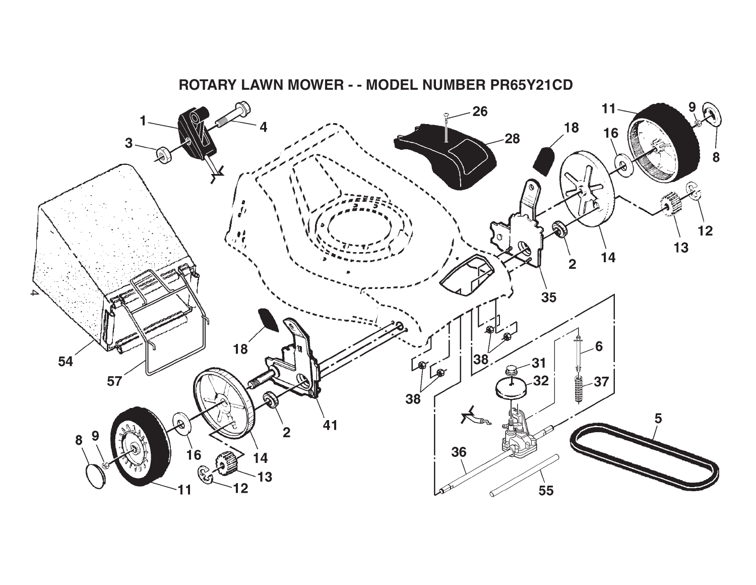

**ROTARY LAWN MOWER - - MODEL NUMBER PR65Y21CD**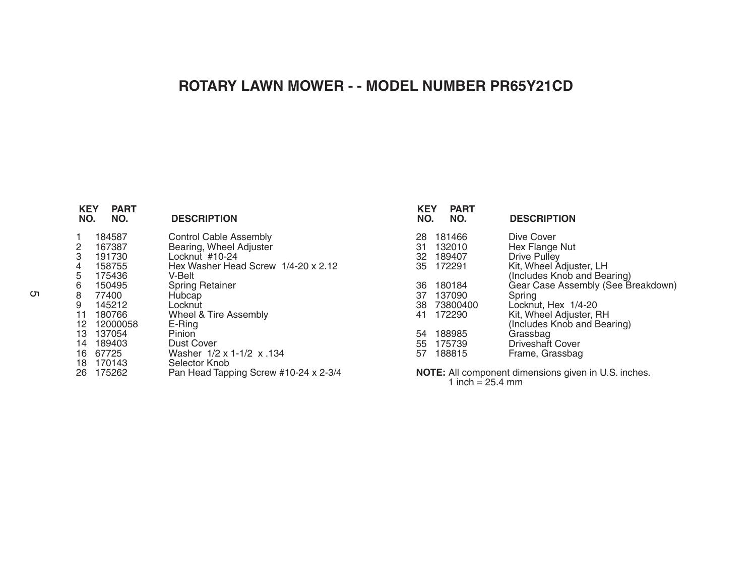## **ROTARY LAWN MOWER - - MODEL NUMBER PR65Y21CD**

| <b>KEY</b><br><b>PART</b><br>NO.<br>NO.                                                                                                                                                                                   | <b>DESCRIPTION</b>                                                                                                                                                                                                                                                                                                          |
|---------------------------------------------------------------------------------------------------------------------------------------------------------------------------------------------------------------------------|-----------------------------------------------------------------------------------------------------------------------------------------------------------------------------------------------------------------------------------------------------------------------------------------------------------------------------|
| 184587<br>1<br>$\frac{2}{3}$<br>167387<br>191730<br>4<br>158755<br>5<br>175436<br>6<br>150495<br>8<br>77400<br>9<br>145212<br>11 180766<br>12 12000058<br>13 137054<br>14 189403<br>16 67725<br>18 170143<br>175262<br>26 | <b>Control Cable Assembly</b><br>Bearing, Wheel Adjuster<br>Locknut #10-24<br>Hex Washer Head Screw 1/4-20 x 2.12<br>V-Belt<br><b>Spring Retainer</b><br>Hubcap<br>Locknut<br>Wheel & Tire Assembly<br>E-Ring<br>Pinion<br>Dust Cover<br>Washer 1/2 x 1-1/2 x 134<br>Selector Knob<br>Pan Head Tapping Screw #10-24 x 2-3/4 |

| <b>KEY</b><br>NO. | <b>PART</b><br>NO. | <b>DESCRIPTION</b>                 |
|-------------------|--------------------|------------------------------------|
|                   |                    |                                    |
| 28                | 181466             | Dive Cover                         |
|                   | 31 132010          | Hex Flange Nut                     |
|                   | 32 189407          | Drive Pulley                       |
|                   | 35 172291          | Kit, Wheel Adjuster, LH            |
|                   |                    | (Includes Knob and Bearing)        |
|                   | 36 180184          | Gear Case Assembly (See Breakdown) |
|                   | 37 137090          | Spring                             |
|                   | 38 73800400        | Locknut, Hex 1/4-20                |
|                   | 41 172290          | Kit, Wheel Adjuster, RH            |
|                   |                    | (Includes Knob and Bearing)        |
| 54                | 188985             | Grassbag                           |
|                   | 55 175739          | <b>Driveshaft Cover</b>            |
|                   | 57 188815          | Frame, Grassbag                    |
|                   |                    |                                    |
|                   |                    |                                    |

**NOTE:** All component dimensions given in U.S. inches. 1 inch = 25.4 mm